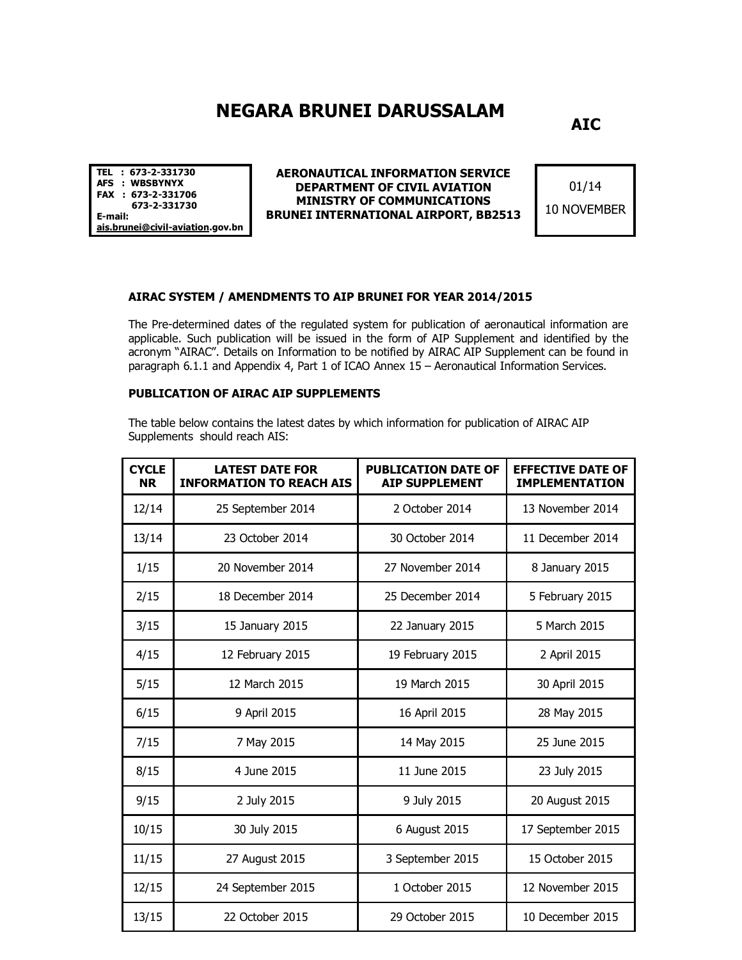## **NEGARA BRUNEI DARUSSALAM**

**AIC**

**TEL : 673-2-331730 AFS : WBSBYNYX FAX : 673-2-331706 673-2-331730 E-mail: ais.brunei@civil-aviation.gov.bn** 

**AERONAUTICAL INFORMATION SERVICE DEPARTMENT OF CIVIL AVIATION MINISTRY OF COMMUNICATIONS BRUNEI INTERNATIONAL AIRPORT, BB2513**

01/14 10 NOVEMBER

## **AIRAC SYSTEM / AMENDMENTS TO AIP BRUNEI FOR YEAR 2014/2015**

The Pre-determined dates of the regulated system for publication of aeronautical information are applicable. Such publication will be issued in the form of AIP Supplement and identified by the acronym "AIRAC". Details on Information to be notified by AIRAC AIP Supplement can be found in paragraph 6.1.1 and Appendix 4, Part 1 of ICAO Annex 15 – Aeronautical Information Services.

## **PUBLICATION OF AIRAC AIP SUPPLEMENTS**

The table below contains the latest dates by which information for publication of AIRAC AIP Supplements should reach AIS:

| <b>CYCLE</b><br><b>NR</b> | <b>LATEST DATE FOR</b><br><b>INFORMATION TO REACH AIS</b> | <b>PUBLICATION DATE OF</b><br><b>AIP SUPPLEMENT</b> | <b>EFFECTIVE DATE OF</b><br><b>IMPLEMENTATION</b> |
|---------------------------|-----------------------------------------------------------|-----------------------------------------------------|---------------------------------------------------|
| 12/14                     | 25 September 2014                                         | 2 October 2014                                      | 13 November 2014                                  |
| 13/14                     | 23 October 2014                                           | 30 October 2014                                     | 11 December 2014                                  |
| 1/15                      | 20 November 2014                                          | 27 November 2014                                    | 8 January 2015                                    |
| 2/15                      | 18 December 2014                                          | 25 December 2014                                    | 5 February 2015                                   |
| 3/15                      | 15 January 2015                                           | 22 January 2015                                     | 5 March 2015                                      |
| 4/15                      | 12 February 2015                                          | 19 February 2015                                    | 2 April 2015                                      |
| 5/15                      | 12 March 2015                                             | 19 March 2015                                       | 30 April 2015                                     |
| 6/15                      | 9 April 2015                                              | 16 April 2015                                       | 28 May 2015                                       |
| 7/15                      | 7 May 2015                                                | 14 May 2015                                         | 25 June 2015                                      |
| 8/15                      | 4 June 2015                                               | 11 June 2015                                        | 23 July 2015                                      |
| 9/15                      | 2 July 2015                                               | 9 July 2015                                         | 20 August 2015                                    |
| 10/15                     | 30 July 2015                                              | 6 August 2015                                       | 17 September 2015                                 |
| 11/15                     | 27 August 2015                                            | 3 September 2015                                    | 15 October 2015                                   |
| 12/15                     | 24 September 2015                                         | 1 October 2015                                      | 12 November 2015                                  |
| 13/15                     | 22 October 2015                                           | 29 October 2015                                     | 10 December 2015                                  |